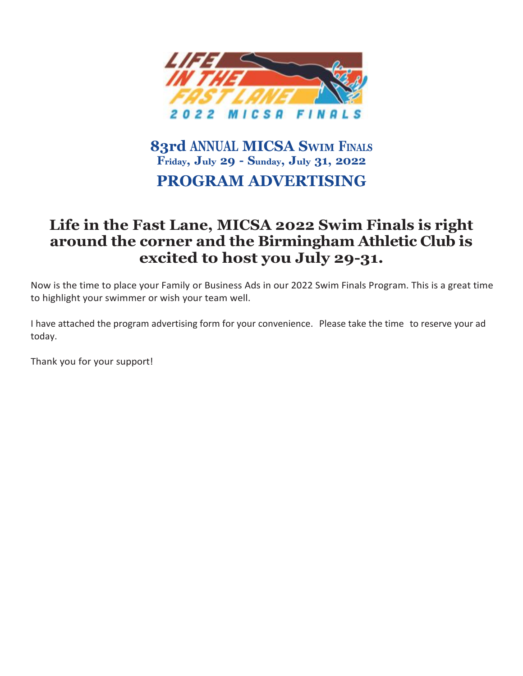

## **83rd ANNUAL MICSA SWIM FINALS Friday, July 29 - Sunday, July 31, 2022 PROGRAM ADVERTISING**

## **Life in the Fast Lane, MICSA 2022 Swim Finals is right around the corner and the Birmingham Athletic Club is excited to host you July 29-31.**

Now is the time to place your Family or Business Ads in our 2022 Swim Finals Program. This is a great time to highlight your swimmer or wish your team well.

I have attached the program advertising form for your convenience. Please take the time to reserve your ad today.

Thank you for your support!